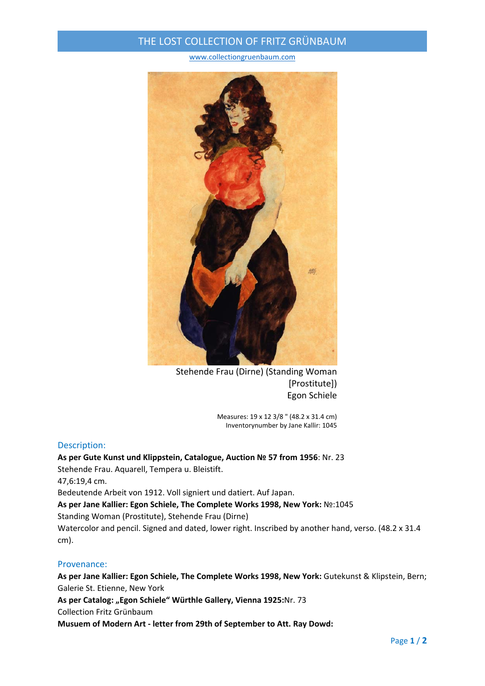## THE LOST COLLECTION OF FRITZ GRÜNBAUM

www.collectiongruenbaum.com



Stehende Frau (Dirne) (Standing Woman [Prostitute]) Egon Schiele

> Measures: 19 x 12 3/8 " (48.2 x 31.4 cm) Inventorynumber by Jane Kallir: 1045

## Description:

**As per Gute Kunst und Klippstein, Catalogue, Auction № 57 from 1956**: Nr. 23 Stehende Frau. Aquarell, Tempera u. Bleistift. 47,6:19,4 cm. Bedeutende Arbeit von 1912. Voll signiert und datiert. Auf Japan. **As per Jane Kallier: Egon Schiele, The Complete Works 1998, New York:** №:1045 Standing Woman (Prostitute), Stehende Frau (Dirne) Watercolor and pencil. Signed and dated, lower right. Inscribed by another hand, verso. (48.2 x 31.4 cm).

## Provenance:

**As per Jane Kallier: Egon Schiele, The Complete Works 1998, New York:** Gutekunst & Klipstein, Bern; Galerie St. Etienne, New York **As per Catalog: "Egon Schiele" Würthle Gallery, Vienna 1925:**Nr. 73

Collection Fritz Grünbaum

**Musuem of Modern Art ‐ letter from 29th of September to Att. Ray Dowd:**